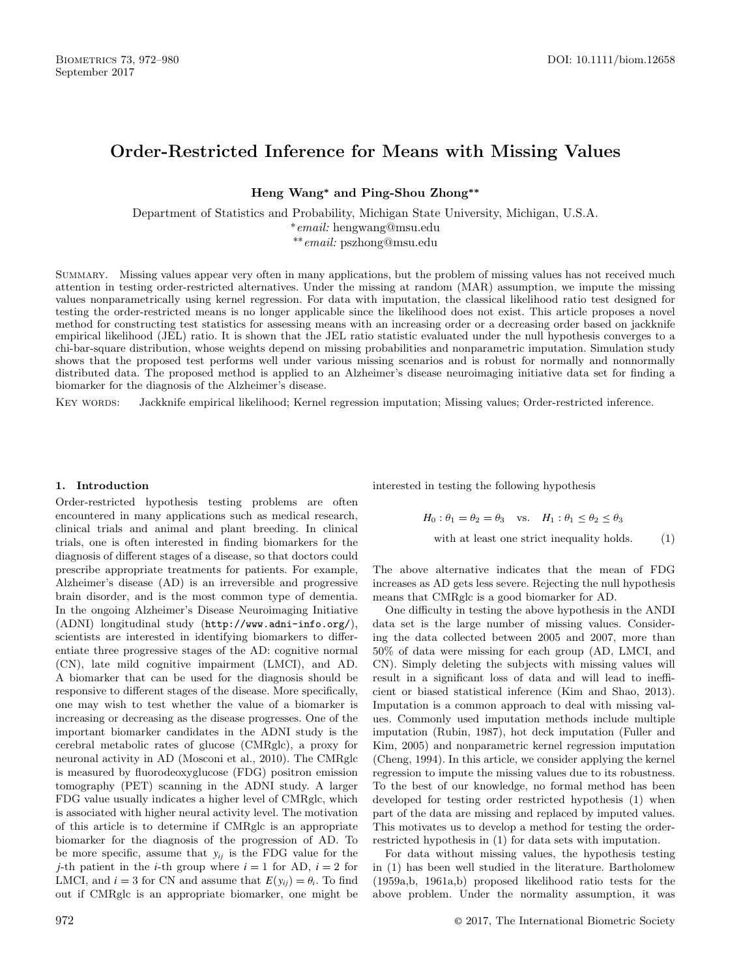# **Order-Restricted Inference for Means with Missing Values**

**Heng Wang\* and Ping-Shou Zhong\*\***

Department of Statistics and Probability, Michigan State University, Michigan, U.S.A. *∗email:* hengwang@msu.edu *\*\*email:* pszhong@msu.edu

Summary. Missing values appear very often in many applications, but the problem of missing values has not received much attention in testing order-restricted alternatives. Under the missing at random (MAR) assumption, we impute the missing values nonparametrically using kernel regression. For data with imputation, the classical likelihood ratio test designed for testing the order-restricted means is no longer applicable since the likelihood does not exist. This article proposes a novel method for constructing test statistics for assessing means with an increasing order or a decreasing order based on jackknife empirical likelihood (JEL) ratio. It is shown that the JEL ratio statistic evaluated under the null hypothesis converges to a chi-bar-square distribution, whose weights depend on missing probabilities and nonparametric imputation. Simulation study shows that the proposed test performs well under various missing scenarios and is robust for normally and nonnormally distributed data. The proposed method is applied to an Alzheimer's disease neuroimaging initiative data set for finding a biomarker for the diagnosis of the Alzheimer's disease.

Key words: Jackknife empirical likelihood; Kernel regression imputation; Missing values; Order-restricted inference.

### **1. Introduction**

Order-restricted hypothesis testing problems are often encountered in many applications such as medical research, clinical trials and animal and plant breeding. In clinical trials, one is often interested in finding biomarkers for the diagnosis of different stages of a disease, so that doctors could prescribe appropriate treatments for patients. For example, Alzheimer's disease (AD) is an irreversible and progressive brain disorder, and is the most common type of dementia. In the ongoing Alzheimer's Disease Neuroimaging Initiative (ADNI) longitudinal study (<http://www.adni-info.org/>), scientists are interested in identifying biomarkers to differentiate three progressive stages of the AD: cognitive normal (CN), late mild cognitive impairment (LMCI), and AD. A biomarker that can be used for the diagnosis should be responsive to different stages of the disease. More specifically, one may wish to test whether the value of a biomarker is increasing or decreasing as the disease progresses. One of the important biomarker candidates in the ADNI study is the cerebral metabolic rates of glucose (CMRglc), a proxy for neuronal activity in AD ([Mosconi et al., 2010\).](#page-8-0) The CMRglc is measured by fluorodeoxyglucose (FDG) positron emission tomography (PET) scanning in the ADNI study. A larger FDG value usually indicates a higher level of CMRglc, which is associated with higher neural activity level. The motivation of this article is to determine if CMRglc is an appropriate biomarker for the diagnosis of the progression of AD. To be more specific, assume that *yij* is the FDG value for the *j*-th patient in the *i*-th group where  $i = 1$  for AD,  $i = 2$  for LMCI, and  $i = 3$  for CN and assume that  $E(y_{ij}) = \theta_i$ . To find out if CMRglc is an appropriate biomarker, one might be

interested in testing the following hypothesis

$$
H_0: \theta_1 = \theta_2 = \theta_3 \quad \text{vs.} \quad H_1: \theta_1 \le \theta_2 \le \theta_3
$$
  
with at least one strict inequality holds. (1)

The above alternative indicates that the mean of FDG increases as AD gets less severe. Rejecting the null hypothesis means that CMRglc is a good biomarker for AD.

One difficulty in testing the above hypothesis in the ANDI data set is the large number of missing values. Considering the data collected between 2005 and 2007, more than 50% of data were missing for each group (AD, LMCI, and CN). Simply deleting the subjects with missing values will result in a significant loss of data and will lead to inefficient or biased statistical inference ([Kim and Shao, 2013\)](#page-8-0). Imputation is a common approach to deal with missing values. Commonly used imputation methods include multiple imputation [\(Rubin, 1987\),](#page-8-0) hot deck imputation [\(Fuller and](#page-8-0) Kim, 2005) and nonparametric kernel regression imputation ([Cheng, 1994\).](#page-8-0) In this article, we consider applying the kernel regression to impute the missing values due to its robustness. To the best of our knowledge, no formal method has been developed for testing order restricted hypothesis (1) when part of the data are missing and replaced by imputed values. This motivates us to develop a method for testing the orderrestricted hypothesis in (1) for data sets with imputation.

For data without missing values, the hypothesis testing in (1) has been well studied in the literature. [Bartholomew](#page-8-0) (1959a,b, 1961a,b) proposed likelihood ratio tests for the above problem. Under the normality assumption, it was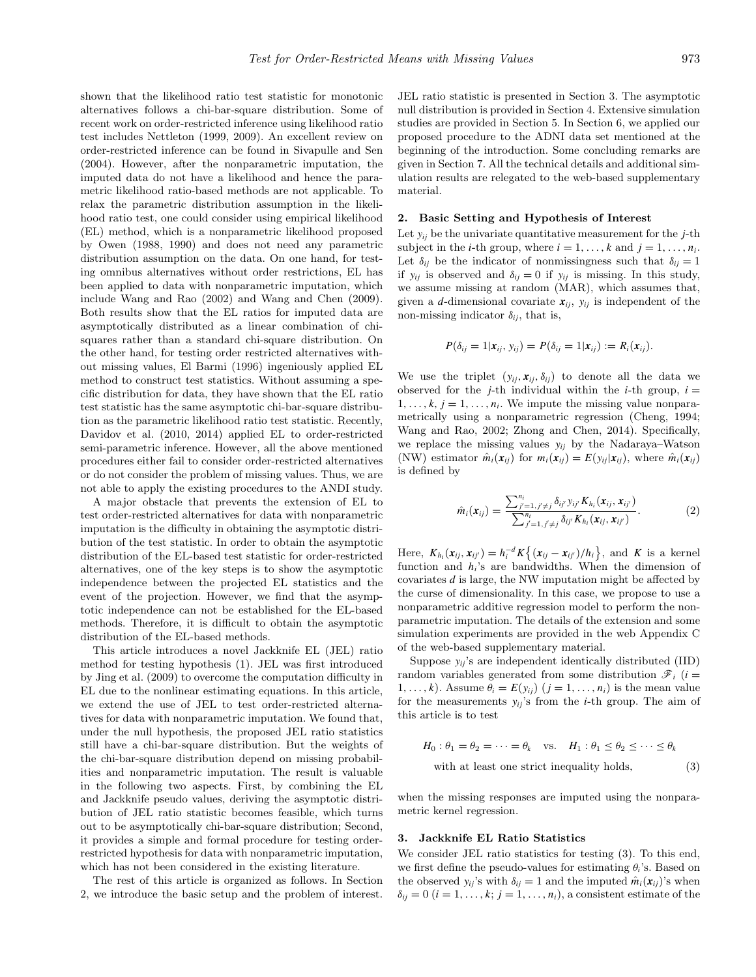shown that the likelihood ratio test statistic for monotonic alternatives follows a chi-bar-square distribution. Some of recent work on order-restricted inference using likelihood ratio test includes [Nettleton \(1999, 2009\).](#page-8-0) An excellent review on order-restricted inference can be found in [Sivapulle and Sen](#page-8-0) (2004). However, after the nonparametric imputation, the imputed data do not have a likelihood and hence the parametric likelihood ratio-based methods are not applicable. To relax the parametric distribution assumption in the likelihood ratio test, one could consider using empirical likelihood (EL) method, which is a nonparametric likelihood proposed by [Owen \(1988, 1990\)](#page-8-0) and does not need any parametric distribution assumption on the data. On one hand, for testing omnibus alternatives without order restrictions, EL has been applied to data with nonparametric imputation, which include [Wang and Rao \(2002\)](#page-8-0) and [Wang and Chen \(2009\).](#page-8-0) Both results show that the EL ratios for imputed data are asymptotically distributed as a linear combination of chisquares rather than a standard chi-square distribution. On the other hand, for testing order restricted alternatives without missing values, [El Barmi \(1996\) i](#page-8-0)ngeniously applied EL method to construct test statistics. Without assuming a specific distribution for data, they have shown that the EL ratio test statistic has the same asymptotic chi-bar-square distribution as the parametric likelihood ratio test statistic. Recently, [Davidov et al. \(2010, 2014\)](#page-8-0) applied EL to order-restricted semi-parametric inference. However, all the above mentioned procedures either fail to consider order-restricted alternatives or do not consider the problem of missing values. Thus, we are not able to apply the existing procedures to the ANDI study.

A major obstacle that prevents the extension of EL to test order-restricted alternatives for data with nonparametric imputation is the difficulty in obtaining the asymptotic distribution of the test statistic. In order to obtain the asymptotic distribution of the EL-based test statistic for order-restricted alternatives, one of the key steps is to show the asymptotic independence between the projected EL statistics and the event of the projection. However, we find that the asymptotic independence can not be established for the EL-based methods. Therefore, it is difficult to obtain the asymptotic distribution of the EL-based methods.

This article introduces a novel Jackknife EL (JEL) ratio method for testing hypothesis (1). JEL was first introduced by [Jing et al. \(2009\) to](#page-8-0) overcome the computation difficulty in EL due to the nonlinear estimating equations. In this article, we extend the use of JEL to test order-restricted alternatives for data with nonparametric imputation. We found that, under the null hypothesis, the proposed JEL ratio statistics still have a chi-bar-square distribution. But the weights of the chi-bar-square distribution depend on missing probabilities and nonparametric imputation. The result is valuable in the following two aspects. First, by combining the EL and Jackknife pseudo values, deriving the asymptotic distribution of JEL ratio statistic becomes feasible, which turns out to be asymptotically chi-bar-square distribution; Second, it provides a simple and formal procedure for testing orderrestricted hypothesis for data with nonparametric imputation, which has not been considered in the existing literature.

The rest of this article is organized as follows. In Section 2, we introduce the basic setup and the problem of interest.

JEL ratio statistic is presented in Section 3. The asymptotic null distribution is provided in Section 4. Extensive simulation studies are provided in Section 5. In Section 6, we applied our proposed procedure to the ADNI data set mentioned at the beginning of the introduction. Some concluding remarks are given in Section 7. All the technical details and additional simulation results are relegated to the web-based supplementary material.

# **2. Basic Setting and Hypothesis of Interest**

Let  $y_{ii}$  be the univariate quantitative measurement for the  $i$ -th subject in the *i*-th group, where  $i = 1, \ldots, k$  and  $j = 1, \ldots, n_i$ . Let  $\delta_{ij}$  be the indicator of nonmissingness such that  $\delta_{ij} = 1$ if  $y_{ij}$  is observed and  $\delta_{ij} = 0$  if  $y_{ij}$  is missing. In this study, we assume missing at random (MAR), which assumes that, given a *d*-dimensional covariate  $x_{ij}$ ,  $y_{ij}$  is independent of the non-missing indicator  $\delta_{ij}$ , that is,

$$
P(\delta_{ij}=1|\mathbf{x}_{ij},\mathbf{y}_{ij})=P(\delta_{ij}=1|\mathbf{x}_{ij}):=R_i(\mathbf{x}_{ij}).
$$

We use the triplet  $(y_{ij}, x_{ij}, \delta_{ij})$  to denote all the data we observed for the *j*-th individual within the *i*-th group,  $i =$  $1, \ldots, k, j = 1, \ldots, n_i$ . We impute the missing value nonparametrically using a nonparametric regression [\(Cheng, 1994;](#page-8-0) Wang and Rao, 2002; Zhong and Chen, 2014). Specifically, we replace the missing values *yij* by the Nadaraya–Watson (NW) estimator  $\hat{m}_i(\mathbf{x}_{ij})$  for  $m_i(\mathbf{x}_{ij}) = E(y_{ij}|\mathbf{x}_{ij})$ , where  $\hat{m}_i(\mathbf{x}_{ij})$ is defined by

$$
\hat{m}_i(\mathbf{x}_{ij}) = \frac{\sum_{j'=1, j'\neq j}^{n_i} \delta_{ij'} y_{ij'} K_{h_i}(\mathbf{x}_{ij}, \mathbf{x}_{ij'})}{\sum_{j'=1, j'\neq j}^{n_i} \delta_{ij'} K_{h_i}(\mathbf{x}_{ij}, \mathbf{x}_{ij'})}.
$$
(2)

Here,  $K_{h_i}(\mathbf{x}_{ij}, \mathbf{x}_{ij'}) = h_i^{-d} K\{(\mathbf{x}_{ij} - \mathbf{x}_{ij'})/h_i\}$ , and *K* is a kernel function and *hi*'s are bandwidths. When the dimension of covariates *d* is large, the NW imputation might be affected by the curse of dimensionality. In this case, we propose to use a nonparametric additive regression model to perform the nonparametric imputation. The details of the extension and some simulation experiments are provided in the web Appendix C of the web-based supplementary material.

Suppose  $y_{ij}$ 's are independent identically distributed (IID) random variables generated from some distribution  $\mathcal{F}_i$  (*i* = 1,...,k). Assume  $\theta_i = E(y_{ij})$   $(j = 1, \ldots, n_i)$  is the mean value for the measurements *yij* 's from the *i*-th group. The aim of this article is to test

$$
H_0: \theta_1 = \theta_2 = \dots = \theta_k \quad \text{vs.} \quad H_1: \theta_1 \le \theta_2 \le \dots \le \theta_k
$$
  
with at least one strict inequality holds, (3)

when the missing responses are imputed using the nonparametric kernel regression.

#### **3. Jackknife EL Ratio Statistics**

We consider JEL ratio statistics for testing (3). To this end, we first define the pseudo-values for estimating  $\theta_i$ 's. Based on the observed  $y_{ij}$ 's with  $\delta_{ij} = 1$  and the imputed  $\hat{m}_i(\mathbf{x}_{ij})$ 's when  $\delta_{ij} = 0$  (*i* = 1, ..., *k*; *j* = 1, ..., *n<sub>i</sub>*), a consistent estimate of the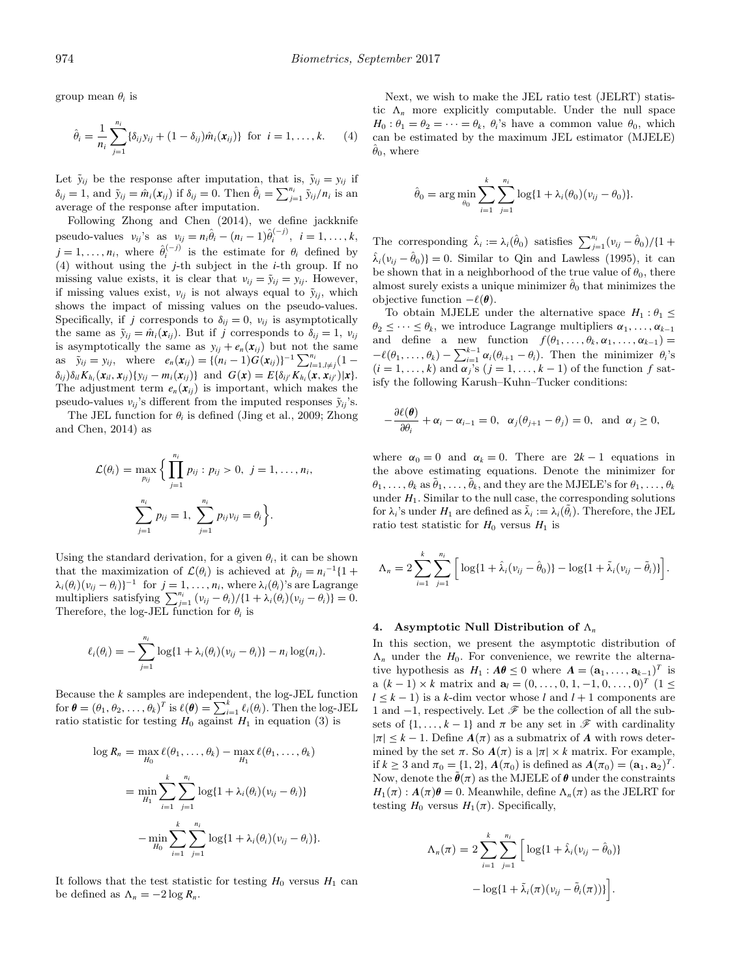group mean  $\theta_i$  is

$$
\hat{\theta}_i = \frac{1}{n_i} \sum_{j=1}^{n_i} \{\delta_{ij} y_{ij} + (1 - \delta_{ij}) \hat{m}_i(\mathbf{x}_{ij})\} \text{ for } i = 1, ..., k. \tag{4}
$$

Let  $\tilde{y}_{ij}$  be the response after imputation, that is,  $\tilde{y}_{ij} = y_{ij}$  if  $\delta_{ij} = 1$ , and  $\tilde{y}_{ij} = \hat{m}_i(\mathbf{x}_{ij})$  if  $\delta_{ij} = 0$ . Then  $\hat{\theta}_i = \sum_{j=1}^{n_i} \tilde{y}_{ij}/n_i$  is an average of the response after imputation.

Following [Zhong and Chen \(2014\)](#page-8-0), we define jackknife pseudo-values  $v_{ij}$ 's as  $v_{ij} = n_i \hat{\theta}_i - (n_i - 1) \hat{\theta}_i^{(-j)}$ ,  $i = 1, ..., k$ ,  $j = 1, \ldots, n_i$ , where  $\hat{\theta}_i^{(-j)}$  is the estimate for  $\theta_i$  defined by (4) without using the *j*-th subject in the *i*-th group. If no missing value exists, it is clear that  $v_{ij} = \tilde{y}_{ij} = y_{ij}$ . However, if missing values exist,  $v_{ij}$  is not always equal to  $\tilde{y}_{ij}$ , which shows the impact of missing values on the pseudo-values. Specifically, if *j* corresponds to  $\delta_{ij} = 0$ ,  $v_{ij}$  is asymptotically the same as  $\tilde{y}_{ij} = \hat{m}_i(x_{ij})$ . But if *j* corresponds to  $\delta_{ij} = 1$ ,  $v_{ij}$ is asymptotically the same as  $y_{ij} + e_n(x_{ij})$  but not the same as  $\tilde{y}_{ij} = y_{ij}$ , where  $e_n(\mathbf{x}_{ij}) = \{(n_i - 1)G(\mathbf{x}_{ij})\}^{-1} \sum_{l=1, l \neq j}^{n_i} (1 \delta_{ij}$ ) $\delta_{il}K_{h_i}(x_{il}, x_{ij})\{y_{ij} - m_i(x_{ij})\}\$  and  $G(x) = E\{\delta_{ij'}K_{h_i}(x, x_{ij'})|x\}.$ The adjustment term  $e_n(x_{ij})$  is important, which makes the pseudo-values  $v_{ii}$ 's different from the imputed responses  $\tilde{v}_{ii}$ 's.

The JEL function for  $\theta_i$  is defined ([Jing et al., 2009; Zhong](#page-8-0) and Chen, 2014) as

$$
\mathcal{L}(\theta_i) = \max_{p_{ij}} \Bigg\{ \prod_{j=1}^{n_i} p_{ij} : p_{ij} > 0, \ j = 1, \dots, n_i,
$$

$$
\sum_{j=1}^{n_i} p_{ij} = 1, \ \sum_{j=1}^{n_i} p_{ij} v_{ij} = \theta_i \Bigg\}.
$$

Using the standard derivation, for a given  $\theta_i$ , it can be shown that the maximization of  $\mathcal{L}(\theta_i)$  is achieved at  $\hat{p}_{ij} = n_i^{-1} \{1 +$  $\lambda_i(\theta_i)(v_{ij} - \theta_i)\}^{-1}$  for  $j = 1, \ldots, n_i$ , where  $\lambda_i(\theta_i)$ 's are Lagrange multipliers satisfying  $\sum_{j=1}^{n_i} (v_{ij} - \theta_i) / \{1 + \lambda_i(\theta_i)(v_{ij} - \theta_i)\} = 0.$ Therefore, the log-JEL function for  $\theta_i$  is

$$
\ell_i(\theta_i) = -\sum_{j=1}^{n_i} \log\{1 + \lambda_i(\theta_i)(v_{ij} - \theta_i)\} - n_i \log(n_i).
$$

Because the *k* samples are independent, the log-JEL function for  $\boldsymbol{\theta} = (\theta_1, \theta_2, \dots, \theta_k)^T$  is  $\ell(\boldsymbol{\theta}) = \sum_{i=1}^k \ell_i(\theta_i)$ . Then the log-JEL ratio statistic for testing  $H_0$  against  $H_1$  in equation (3) is

$$
\log R_n = \max_{H_0} \ell(\theta_1, ..., \theta_k) - \max_{H_1} \ell(\theta_1, ..., \theta_k)
$$
  
= 
$$
\min_{H_1} \sum_{i=1}^k \sum_{j=1}^{n_i} \log\{1 + \lambda_i(\theta_i)(v_{ij} - \theta_i)\}
$$
  
- 
$$
\min_{H_0} \sum_{i=1}^k \sum_{j=1}^{n_i} \log\{1 + \lambda_i(\theta_i)(v_{ij} - \theta_i)\}.
$$

It follows that the test statistic for testing  $H_0$  versus  $H_1$  can be defined as  $\Lambda_n = -2 \log R_n$ .

Next, we wish to make the JEL ratio test (JELRT) statistic  $\Lambda_n$  more explicitly computable. Under the null space  $H_0: \theta_1 = \theta_2 = \cdots = \theta_k$ ,  $\theta_i$ 's have a common value  $\theta_0$ , which can be estimated by the maximum JEL estimator (MJELE)  $\ddot{\theta}_0$ , where

$$
\hat{\theta}_0 = \arg \min_{\theta_0} \sum_{i=1}^k \sum_{j=1}^{n_i} \log\{1 + \lambda_i(\theta_0)(v_{ij} - \theta_0)\}.
$$

The corresponding  $\hat{\lambda}_i := \lambda_i(\hat{\theta}_0)$  satisfies  $\sum_{j=1}^{n_i} (\nu_{ij} - \hat{\theta}_0)/\{1 + \hat{\theta}_i\}$  $\hat{\lambda}_i(\nu_{ij} - \hat{\theta}_0)$ } = 0*.* Similar to [Qin and Lawless \(1995\),](#page-8-0) it can be shown that in a neighborhood of the true value of  $\theta_0$ , there almost surely exists a unique minimizer  $\hat{\theta}_0$  that minimizes the objective function  $-\ell(\theta)$ .

To obtain MJELE under the alternative space  $H_1: \theta_1 \leq$  $\theta_2 \leq \cdots \leq \theta_k$ , we introduce Lagrange multipliers  $\alpha_1, \ldots, \alpha_{k-1}$ and define a new function  $f(\theta_1,\ldots,\theta_k,\alpha_1,\ldots,\alpha_{k-1})=$  $-\ell(\theta_1,\ldots,\theta_k)-\sum_{i=1}^{k-1}\alpha_i(\theta_{i+1}-\theta_i)$ . Then the minimizer  $\theta_i$ 's  $(i = 1, \ldots, k)$  and  $\alpha_j$ 's  $(j = 1, \ldots, k - 1)$  of the function  $f$  satisfy the following Karush–Kuhn–Tucker conditions:

$$
-\frac{\partial \ell(\boldsymbol{\theta})}{\partial \theta_i} + \alpha_i - \alpha_{i-1} = 0, \ \alpha_j(\theta_{j+1} - \theta_j) = 0, \text{ and } \alpha_j \ge 0,
$$

where  $\alpha_0 = 0$  and  $\alpha_k = 0$ . There are  $2k - 1$  equations in the above estimating equations. Denote the minimizer for  $\theta_1, \ldots, \theta_k$  as  $\theta_1, \ldots, \theta_k$ , and they are the MJELE's for  $\theta_1, \ldots, \theta_k$ under  $H_1$ . Similar to the null case, the corresponding solutions for  $\lambda_i$ 's under  $H_1$  are defined as  $\tilde{\lambda}_i := \lambda_i(\tilde{\theta}_i)$ . Therefore, the JEL ratio test statistic for  $H_0$  versus  $H_1$  is

$$
\Lambda_n = 2\sum_{i=1}^k \sum_{j=1}^{n_i} \left[ \log\{1 + \hat{\lambda}_i(\nu_{ij} - \hat{\theta}_0)\} - \log\{1 + \tilde{\lambda}_i(\nu_{ij} - \tilde{\theta}_i)\} \right].
$$

#### **4.** Asymptotic Null Distribution of  $\Lambda_n$

In this section, we present the asymptotic distribution of  $\Lambda_n$  under the  $H_0$ . For convenience, we rewrite the alternative hypothesis as  $H_1: A\theta \leq 0$  where  $A = (\mathbf{a}_1, \ldots, \mathbf{a}_{k-1})^T$  is a  $(k-1) \times k$  matrix and  $\mathbf{a}_l = (0, \ldots, 0, 1, -1, 0, \ldots, 0)^T$  (1 ≤  $l \leq k - 1$ ) is a *k*-dim vector whose *l* and  $l + 1$  components are 1 and  $-1$ , respectively. Let  $\mathscr F$  be the collection of all the subsets of  $\{1, \ldots, k-1\}$  and  $\pi$  be any set in  $\mathscr F$  with cardinality  $|\pi| \leq k - 1$ . Define  $A(\pi)$  as a submatrix of A with rows determined by the set  $\pi$ . So  $A(\pi)$  is a  $|\pi| \times k$  matrix. For example, if  $k \geq 3$  and  $\pi_0 = \{1, 2\}$ ,  $A(\pi_0)$  is defined as  $A(\pi_0) = (\mathbf{a}_1, \mathbf{a}_2)^T$ . Now, denote the  $\theta(\pi)$  as the MJELE of  $\theta$  under the constraints  $H_1(\pi) : A(\pi)\theta = 0$ . Meanwhile, define  $\Lambda_n(\pi)$  as the JELRT for testing  $H_0$  versus  $H_1(\pi)$ . Specifically,

$$
\Lambda_n(\pi) = 2 \sum_{i=1}^k \sum_{j=1}^{n_i} \left[ \log\{1 + \hat{\lambda}_i(\nu_{ij} - \hat{\theta}_0)\} - \log\{1 + \tilde{\lambda}_i(\pi)(\nu_{ij} - \tilde{\theta}_i(\pi))\} \right].
$$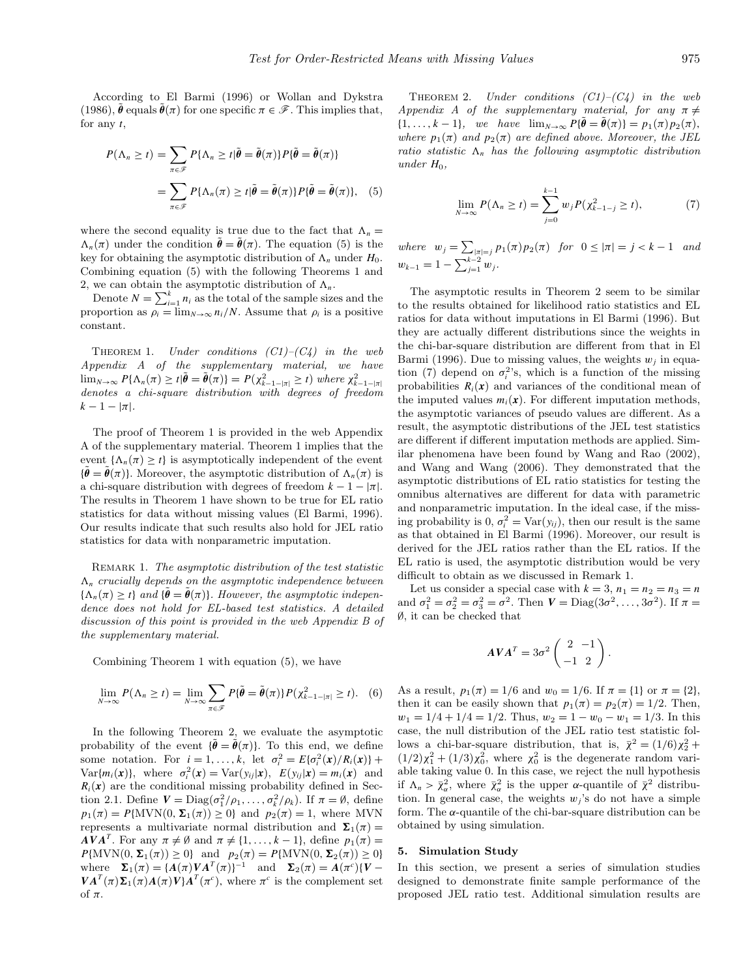According to [El Barmi \(1996\)](#page-8-0) or [Wollan and Dykstra](#page-8-0) (1986),  $\hat{\theta}$  equals  $\hat{\theta}(\pi)$  for one specific  $\pi \in \mathscr{F}$ . This implies that, for any *t*,

$$
P(\Lambda_n \ge t) = \sum_{\pi \in \mathscr{F}} P\{\Lambda_n \ge t | \tilde{\theta} = \tilde{\theta}(\pi)\} P\{\tilde{\theta} = \tilde{\theta}(\pi)\}
$$

$$
= \sum_{\pi \in \mathscr{F}} P\{\Lambda_n(\pi) \ge t | \tilde{\theta} = \tilde{\theta}(\pi)\} P\{\tilde{\theta} = \tilde{\theta}(\pi)\}, \quad (5)
$$

where the second equality is true due to the fact that  $\Lambda_n =$  $\Lambda_n(\pi)$  under the condition  $\tilde{\theta} = \tilde{\theta}(\pi)$ . The equation (5) is the key for obtaining the asymptotic distribution of  $\Lambda_n$  under  $H_0$ . Combining equation (5) with the following Theorems 1 and 2, we can obtain the asymptotic distribution of  $\Lambda_n$ .

Denote  $N = \sum_{i=1}^{k} n_i$  as the total of the sample sizes and the proportion as  $\rho_i = \lim_{N \to \infty} n_i/N$ . Assume that  $\rho_i$  is a positive constant.

THEOREM 1. Under conditions  $(C1)$ – $(C4)$  in the web Appendix A of the supplementary material, we have  $\lim_{N\to\infty} P\{\Lambda_n(\pi) \geq t | \tilde{\boldsymbol{\theta}} = \tilde{\boldsymbol{\theta}}(\pi)\} = P(\chi_{k-1-|\pi|}^2 \geq t)$  where  $\chi_{k-1-|\pi|}^2$ <br>denotes a chi-square distribution with degrees of freedom  $k - 1 - |\pi|$ .

The proof of Theorem 1 is provided in the web Appendix A of the supplementary material. Theorem 1 implies that the event  $\{\Lambda_n(\pi) > t\}$  is asymptotically independent of the event  ${\bar{\theta}} = {\bar{\theta}}(\pi)$ . Moreover, the asymptotic distribution of  $\Lambda_n(\pi)$  is a chi-square distribution with degrees of freedom  $k - 1 - |\pi|$ . The results in Theorem 1 have shown to be true for EL ratio statistics for data without missing values ([El Barmi, 1996\).](#page-8-0) Our results indicate that such results also hold for JEL ratio statistics for data with nonparametric imputation.

REMARK 1. The asymptotic distribution of the test statistic  $\Lambda_n$  crucially depends on the asymptotic independence between  ${\Lambda_n(\pi) \geq t}$  and  ${\bar{\theta} = \tilde{\theta}(\pi)}$ . However, the asymptotic independence does not hold for EL-based test statistics. A detailed discussion of this point is provided in the web Appendix B of the supplementary material.

Combining Theorem 1 with equation (5), we have

$$
\lim_{N\to\infty} P(\Lambda_n \ge t) = \lim_{N\to\infty} \sum_{\pi \in \mathscr{F}} P\{\tilde{\boldsymbol{\theta}} = \tilde{\boldsymbol{\theta}}(\pi)\} P(\chi_{k-1-|\pi|}^2 \ge t). \tag{6}
$$

In the following Theorem 2, we evaluate the asymptotic probability of the event  $\{\tilde{\theta} = \tilde{\theta}(\pi)\}$ . To this end, we define some notation. For  $i = 1, ..., k$ , let  $\sigma_i^2 = E{\lbrace \sigma_i^2(\mathbf{x})/R_i(\mathbf{x}) \rbrace} + \sigma_i^2$  $Var{m_i(\mathbf{x})}$ , where  $\sigma_i^2(\mathbf{x}) = Var(y_{ij}|\mathbf{x})$ ,  $E(y_{ij}|\mathbf{x}) = m_i(\mathbf{x})$  and  $R_i(x)$  are the conditional missing probability defined in Section 2.1. Define  $V = \text{Diag}(\sigma_1^2/\rho_1, \ldots, \sigma_k^2/\rho_k)$ . If  $\pi = \emptyset$ , define  $p_1(\pi) = P\{\text{MVN}(0, \Sigma_1(\pi)) \geq 0\}$  and  $p_2(\pi) = 1$ , where MVN represents a multivariate normal distribution and  $\Sigma_1(\pi)$  = *AVA<sup>T</sup>*. For any  $\pi \neq \emptyset$  and  $\pi \neq \{1, ..., k-1\}$ , define  $p_1(\pi) =$  $P{\text{MVN}(0, \Sigma_1(\pi)) \ge 0}$  and  $p_2(\pi) = P{\text{MVN}(0, \Sigma_2(\pi)) \ge 0}$ where  $\Sigma_1(\pi) = {A(\pi)VA^T(\pi)}^{-1}$  and  $\Sigma_2(\pi) = A(\pi^c)(V VA^{T}(\pi)\Sigma_{1}(\pi)A(\pi)V$ <sup>*T*</sup> ( $\pi^{c}$ ), where  $\pi^{c}$  is the complement set of *π*.

THEOREM 2. Under conditions  $(C1)$ – $(C4)$  in the web Appendix A of the supplementary material, for any  $\pi \neq$  $\{1,\ldots,k-1\}$ , we have  $\lim_{N\to\infty} P\{\tilde{\theta} = \tilde{\theta}(\pi)\} = p_1(\pi)p_2(\pi)$ , where  $p_1(\pi)$  and  $p_2(\pi)$  are defined above. Moreover, the JEL ratio statistic  $\Lambda_n$  has the following asymptotic distribution under  $H_0$ ,

$$
\lim_{N \to \infty} P(\Lambda_n \ge t) = \sum_{j=0}^{k-1} w_j P(\chi_{k-1-j}^2 \ge t), \tag{7}
$$

 $where \t w_j = \sum_{|\pi|=j} p_1(\pi) p_2(\pi) \text{ for } 0 \leq |\pi| = j < k-1 \text{ and}$  $w_{k-1} = 1 - \sum_{j=1}^{k-2} w_j$ .

The asymptotic results in Theorem 2 seem to be similar to the results obtained for likelihood ratio statistics and EL ratios for data without imputations in [El Barmi \(1996\).](#page-8-0) But they are actually different distributions since the weights in the chi-bar-square distribution are different from that in [El](#page-8-0) Barmi (1996). Due to missing values, the weights  $w_j$  in equation (7) depend on  $\sigma_i^2$ 's, which is a function of the missing probabilities  $R_i(x)$  and variances of the conditional mean of the imputed values  $m_i(x)$ . For different imputation methods, the asymptotic variances of pseudo values are different. As a result, the asymptotic distributions of the JEL test statistics are different if different imputation methods are applied. Similar phenomena have been found by [Wang and Rao \(2002\),](#page-8-0) and [Wang and Wang \(2006\).](#page-8-0) They demonstrated that the asymptotic distributions of EL ratio statistics for testing the omnibus alternatives are different for data with parametric and nonparametric imputation. In the ideal case, if the missing probability is  $0, \sigma_i^2 = \text{Var}(y_{ij})$ , then our result is the same as that obtained in [El Barmi \(1996\).](#page-8-0) Moreover, our result is derived for the JEL ratios rather than the EL ratios. If the EL ratio is used, the asymptotic distribution would be very difficult to obtain as we discussed in Remark 1.

Let us consider a special case with  $k = 3$ ,  $n_1 = n_2 = n_3 = n$ and  $\sigma_1^2 = \sigma_2^2 = \sigma_3^2 = \sigma^2$ . Then  $V = \text{Diag}(3\sigma^2, ..., 3\sigma^2)$ . If  $\pi =$ ∅, it can be checked that

$$
AVA^{T} = 3\sigma^{2} \begin{pmatrix} 2 & -1 \\ -1 & 2 \end{pmatrix}.
$$

As a result,  $p_1(\pi) = 1/6$  and  $w_0 = 1/6$ . If  $\pi = \{1\}$  or  $\pi = \{2\}$ , then it can be easily shown that  $p_1(\pi) = p_2(\pi) = 1/2$ . Then,  $w_1 = 1/4 + 1/4 = 1/2$ . Thus,  $w_2 = 1 - w_0 - w_1 = 1/3$ . In this case, the null distribution of the JEL ratio test statistic follows a chi-bar-square distribution, that is,  $\bar{\chi}^2 = (1/6)\chi_2^2 +$  $(1/2)\chi_1^2 + (1/3)\chi_0^2$ , where  $\chi_0^2$  is the degenerate random variable taking value 0. In this case, we reject the null hypothesis if  $\Lambda_n > \bar{\chi}^2_\alpha$ , where  $\bar{\chi}^2_\alpha$  is the upper *α*-quantile of  $\bar{\chi}^2$  distribution. In general case, the weights  $w_j$ 's do not have a simple form. The *α*-quantile of the chi-bar-square distribution can be obtained by using simulation.

# **5. Simulation Study**

In this section, we present a series of simulation studies designed to demonstrate finite sample performance of the proposed JEL ratio test. Additional simulation results are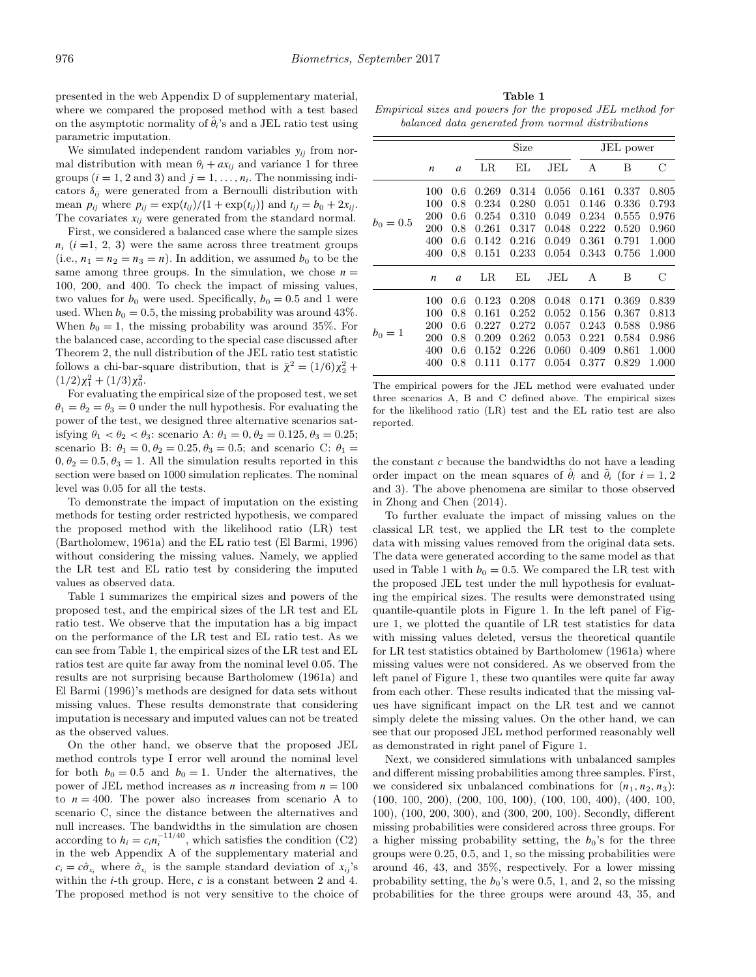presented in the web Appendix D of supplementary material, where we compared the proposed method with a test based on the asymptotic normality of  $\hat{\theta}$ <sup>'</sup>s and a JEL ratio test using parametric imputation.

We simulated independent random variables  $y_{ij}$  from normal distribution with mean  $\theta_i + ax_{ii}$  and variance 1 for three groups  $(i = 1, 2 \text{ and } 3)$  and  $j = 1, \ldots, n_i$ . The nonmissing indicators  $\delta_{ij}$  were generated from a Bernoulli distribution with mean  $p_{ij}$  where  $p_{ij} = \exp(t_{ij})/(1 + \exp(t_{ij}))$  and  $t_{ij} = b_0 + 2x_{ij}$ . The covariates  $x_{ij}$  were generated from the standard normal.

First, we considered a balanced case where the sample sizes  $n_i$   $(i = 1, 2, 3)$  were the same across three treatment groups (i.e.,  $n_1 = n_2 = n_3 = n$ ). In addition, we assumed  $b_0$  to be the same among three groups. In the simulation, we chose  $n =$ 100, 200, and 400. To check the impact of missing values, two values for  $b_0$  were used. Specifically,  $b_0 = 0.5$  and 1 were used. When  $b_0 = 0.5$ , the missing probability was around 43%. When  $b_0 = 1$ , the missing probability was around 35%. For the balanced case, according to the special case discussed after Theorem 2, the null distribution of the JEL ratio test statistic follows a chi-bar-square distribution, that is  $\bar{\chi}^2 = (1/6)\chi_2^2 +$  $(1/2)\chi_1^2 + (1/3)\chi_0^2$ .

For evaluating the empirical size of the proposed test, we set  $\theta_1 = \theta_2 = \theta_3 = 0$  under the null hypothesis. For evaluating the power of the test, we designed three alternative scenarios satisfying  $\theta_1 < \theta_2 < \theta_3$ : scenario A:  $\theta_1 = 0$ ,  $\theta_2 = 0.125$ ,  $\theta_3 = 0.25$ ; scenario B:  $\theta_1 = 0, \theta_2 = 0.25, \theta_3 = 0.5$ ; and scenario C:  $\theta_1 =$  $0, \theta_2 = 0.5, \theta_3 = 1$ . All the simulation results reported in this section were based on 1000 simulation replicates. The nominal level was 0.05 for all the tests.

To demonstrate the impact of imputation on the existing methods for testing order restricted hypothesis, we compared the proposed method with the likelihood ratio (LR) test ([Bartholomew, 1961a\)](#page-8-0) and the EL ratio test [\(El Barmi, 1996\)](#page-8-0) without considering the missing values. Namely, we applied the LR test and EL ratio test by considering the imputed values as observed data.

Table 1 summarizes the empirical sizes and powers of the proposed test, and the empirical sizes of the LR test and EL ratio test. We observe that the imputation has a big impact on the performance of the LR test and EL ratio test. As we can see from Table 1, the empirical sizes of the LR test and EL ratios test are quite far away from the nominal level 0.05. The results are not surprising because [Bartholomew \(1961a\) and](#page-8-0) El Barmi (1996)'s methods are designed for data sets without missing values. These results demonstrate that considering imputation is necessary and imputed values can not be treated as the observed values.

On the other hand, we observe that the proposed JEL method controls type I error well around the nominal level for both  $b_0 = 0.5$  and  $b_0 = 1$ . Under the alternatives, the power of JEL method increases as *n* increasing from  $n = 100$ to  $n = 400$ . The power also increases from scenario A to scenario C, since the distance between the alternatives and null increases. The bandwidths in the simulation are chosen according to  $h_i = c_i n_i^{-11/40}$ , which satisfies the condition (C2) in the web Appendix A of the supplementary material and  $c_i = c\hat{\sigma}_{x_i}$  where  $\hat{\sigma}_{x_i}$  is the sample standard deviation of  $x_{ij}$ 's within the *i*-th group. Here, *c* is a constant between 2 and 4. The proposed method is not very sensitive to the choice of

**Table 1** Empirical sizes and powers for the proposed JEL method for balanced data generated from normal distributions

|             |                  |     | Size  |       |       | JEL power |       |       |
|-------------|------------------|-----|-------|-------|-------|-----------|-------|-------|
|             | n                | a   | LR    | EL    | JEL   | А         | В     | С     |
| $b_0 = 0.5$ | 100              | 0.6 | 0.269 | 0.314 | 0.056 | 0.161     | 0.337 | 0.805 |
|             | 100              | 0.8 | 0.234 | 0.280 | 0.051 | 0.146     | 0.336 | 0.793 |
|             | 200              | 0.6 | 0.254 | 0.310 | 0.049 | 0.234     | 0.555 | 0.976 |
|             | 200              | 0.8 | 0.261 | 0.317 | 0.048 | 0.222     | 0.520 | 0.960 |
|             | 400              | 0.6 | 0.142 | 0.216 | 0.049 | 0.361     | 0.791 | 1.000 |
|             | 400              | 0.8 | 0.151 | 0.233 | 0.054 | 0.343     | 0.756 | 1.000 |
|             | $\boldsymbol{n}$ | a   | LR    | EL    | JEL   | A         | B     | С     |
| $b_0 = 1$   | 100              | 0.6 | 0.123 | 0.208 | 0.048 | 0.171     | 0.369 | 0.839 |
|             | 100              | 0.8 | 0.161 | 0.252 | 0.052 | 0.156     | 0.367 | 0.813 |
|             | 200              | 0.6 | 0.227 | 0.272 | 0.057 | 0.243     | 0.588 | 0.986 |
|             | 200              | 0.8 | 0.209 | 0.262 | 0.053 | 0.221     | 0.584 | 0.986 |
|             | 400              | 0.6 | 0.152 | 0.226 | 0.060 | 0.409     | 0.861 | 1.000 |
|             | 400              | 0.8 | 0.111 | 0.177 | 0.054 | 0.377     | 0.829 | 1.000 |
|             |                  |     |       |       |       |           |       |       |

The empirical powers for the JEL method were evaluated under three scenarios A, B and C defined above. The empirical sizes for the likelihood ratio (LR) test and the EL ratio test are also reported.

the constant *c* because the bandwidths do not have a leading order impact on the mean squares of  $\hat{\theta}_i$  and  $\tilde{\theta}_i$  (for  $i = 1, 2$ ) and 3). The above phenomena are similar to those observed in [Zhong and Chen \(2014\).](#page-8-0)

To further evaluate the impact of missing values on the classical LR test, we applied the LR test to the complete data with missing values removed from the original data sets. The data were generated according to the same model as that used in Table 1 with  $b_0 = 0.5$ . We compared the LR test with the proposed JEL test under the null hypothesis for evaluating the empirical sizes. The results were demonstrated using quantile-quantile plots in Figure 1. In the left panel of Figure 1, we plotted the quantile of LR test statistics for data with missing values deleted, versus the theoretical quantile for LR test statistics obtained by [Bartholomew \(1961a\) w](#page-8-0)here missing values were not considered. As we observed from the left panel of Figure 1, these two quantiles were quite far away from each other. These results indicated that the missing values have significant impact on the LR test and we cannot simply delete the missing values. On the other hand, we can see that our proposed JEL method performed reasonably well as demonstrated in right panel of Figure 1.

Next, we considered simulations with unbalanced samples and different missing probabilities among three samples. First, we considered six unbalanced combinations for  $(n_1, n_2, n_3)$ : (100, 100, 200), (200, 100, 100), (100, 100, 400), (400, 100, 100), (100, 200, 300), and (300, 200, 100). Secondly, different missing probabilities were considered across three groups. For a higher missing probability setting, the  $b_0$ 's for the three groups were 0*.*25, 0*.*5, and 1, so the missing probabilities were around 46, 43, and 35%, respectively. For a lower missing probability setting, the  $b_0$ 's were 0.5, 1, and 2, so the missing probabilities for the three groups were around 43, 35, and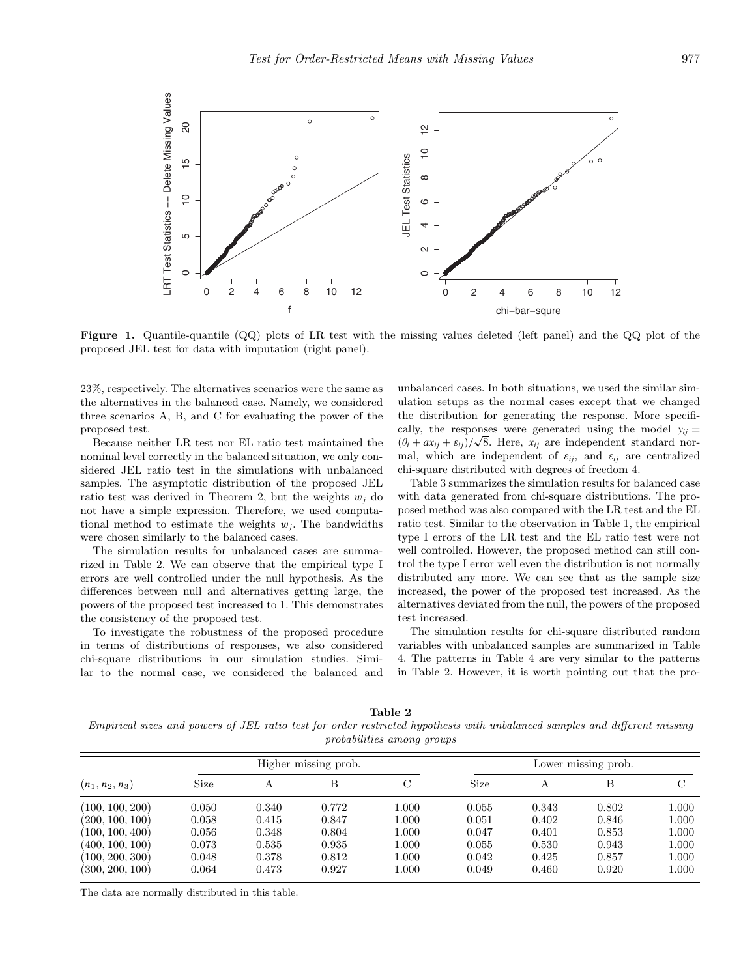

**Figure 1.** Quantile-quantile (QQ) plots of LR test with the missing values deleted (left panel) and the QQ plot of the proposed JEL test for data with imputation (right panel).

23%, respectively. The alternatives scenarios were the same as the alternatives in the balanced case. Namely, we considered three scenarios A, B, and C for evaluating the power of the proposed test.

Because neither LR test nor EL ratio test maintained the nominal level correctly in the balanced situation, we only considered JEL ratio test in the simulations with unbalanced samples. The asymptotic distribution of the proposed JEL ratio test was derived in Theorem 2, but the weights  $w_i$  do not have a simple expression. Therefore, we used computational method to estimate the weights  $w_i$ . The bandwidths were chosen similarly to the balanced cases.

The simulation results for unbalanced cases are summarized in Table 2. We can observe that the empirical type I errors are well controlled under the null hypothesis. As the differences between null and alternatives getting large, the powers of the proposed test increased to 1. This demonstrates the consistency of the proposed test.

To investigate the robustness of the proposed procedure in terms of distributions of responses, we also considered chi-square distributions in our simulation studies. Similar to the normal case, we considered the balanced and

unbalanced cases. In both situations, we used the similar simulation setups as the normal cases except that we changed the distribution for generating the response. More specifically, the responses were generated using the model  $y_{ii} =$ cally, the responses were generated using the model  $y_{ij} = (\theta_i + ax_{ij} + \varepsilon_{ij})/\sqrt{8}$ . Here,  $x_{ij}$  are independent standard normal, which are independent of  $\varepsilon_{ij}$ , and  $\varepsilon_{ij}$  are centralized chi-square distributed with degrees of freedom 4.

Table 3 summarizes the simulation results for balanced case with data generated from chi-square distributions. The proposed method was also compared with the LR test and the EL ratio test. Similar to the observation in Table 1, the empirical type I errors of the LR test and the EL ratio test were not well controlled. However, the proposed method can still control the type I error well even the distribution is not normally distributed any more. We can see that as the sample size increased, the power of the proposed test increased. As the alternatives deviated from the null, the powers of the proposed test increased.

The simulation results for chi-square distributed random variables with unbalanced samples are summarized in Table 4. The patterns in Table 4 are very similar to the patterns in Table 2. However, it is worth pointing out that the pro-

**Table 2**

Empirical sizes and powers of JEL ratio test for order restricted hypothesis with unbalanced samples and different missing probabilities among groups

| $(n_1, n_2, n_3)$ | Higher missing prob. |       |       |       | Lower missing prob. |       |       |       |  |
|-------------------|----------------------|-------|-------|-------|---------------------|-------|-------|-------|--|
|                   | Size                 |       | В     |       | <b>Size</b>         | А     | В     |       |  |
| (100, 100, 200)   | 0.050                | 0.340 | 0.772 | 1.000 | 0.055               | 0.343 | 0.802 | 1.000 |  |
| (200, 100, 100)   | 0.058                | 0.415 | 0.847 | 1.000 | 0.051               | 0.402 | 0.846 | 1.000 |  |
| (100, 100, 400)   | $0.056\,$            | 0.348 | 0.804 | 1.000 | 0.047               | 0.401 | 0.853 | 1.000 |  |
| (400, 100, 100)   | 0.073                | 0.535 | 0.935 | 1.000 | 0.055               | 0.530 | 0.943 | 1.000 |  |
| (100, 200, 300)   | 0.048                | 0.378 | 0.812 | 1.000 | 0.042               | 0.425 | 0.857 | 1.000 |  |
| (300, 200, 100)   | 0.064                | 0.473 | 0.927 | 1.000 | 0.049               | 0.460 | 0.920 | 1.000 |  |

The data are normally distributed in this table.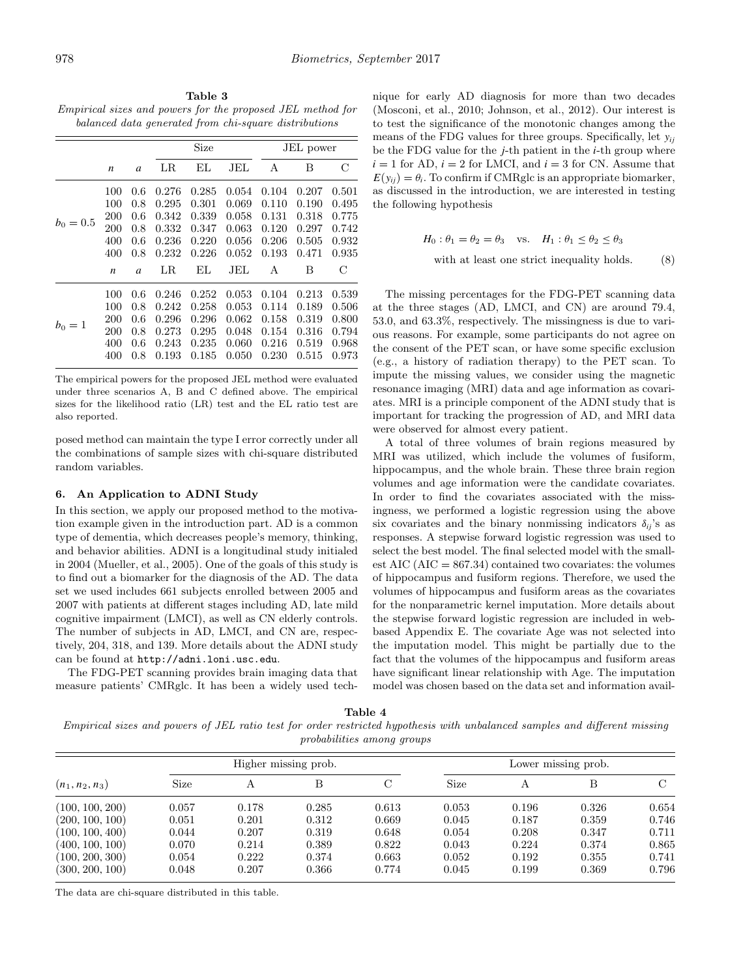**Table 3** Empirical sizes and powers for the proposed JEL method for balanced data generated from chi-square distributions

|             |                  |               | Size    |       |       | JEL power |       |       |
|-------------|------------------|---------------|---------|-------|-------|-----------|-------|-------|
|             | $\boldsymbol{n}$ | a             | $_{LR}$ | EL    | JEL   | А         | В     | С     |
|             | 100              | 0.6           | 0.276   | 0.285 | 0.054 | 0.104     | 0.207 | 0.501 |
| $b_0 = 0.5$ | 100              | 0.8           | 0.295   | 0.301 | 0.069 | 0.110     | 0.190 | 0.495 |
|             | 200              | 0.6           | 0.342   | 0.339 | 0.058 | 0.131     | 0.318 | 0.775 |
|             | 200              | 0.8           | 0.332   | 0.347 | 0.063 | 0.120     | 0.297 | 0.742 |
|             | 400              | 0.6           | 0.236   | 0.220 | 0.056 | 0.206     | 0.505 | 0.932 |
|             | 400              | 0.8           | 0.232   | 0.226 | 0.052 | 0.193     | 0.471 | 0.935 |
|             | $\boldsymbol{n}$ | $\mathfrak a$ | LR      | ΕL    | JEL   | A         | B     | С     |
|             | 100              | 0.6           | 0.246   | 0.252 | 0.053 | 0.104     | 0.213 | 0.539 |
| $b_0 = 1$   | 100              | 0.8           | 0.242   | 0.258 | 0.053 | 0.114     | 0.189 | 0.506 |
|             | 200              | 0.6           | 0.296   | 0.296 | 0.062 | 0.158     | 0.319 | 0.800 |
|             | 200              | 0.8           | 0.273   | 0.295 | 0.048 | 0.154     | 0.316 | 0.794 |
|             | 400              | 0.6           | 0.243   | 0.235 | 0.060 | 0.216     | 0.519 | 0.968 |
|             | 400              | 0.8           | 0.193   | 0.185 | 0.050 | 0.230     | 0.515 | 0.973 |

The empirical powers for the proposed JEL method were evaluated under three scenarios A, B and C defined above. The empirical sizes for the likelihood ratio (LR) test and the EL ratio test are also reported.

posed method can maintain the type I error correctly under all the combinations of sample sizes with chi-square distributed random variables.

# **6. An Application to ADNI Study**

In this section, we apply our proposed method to the motivation example given in the introduction part. AD is a common type of dementia, which decreases people's memory, thinking, and behavior abilities. ADNI is a longitudinal study initialed in 2004 [\(Mueller, et al., 2005\).](#page-8-0) One of the goals of this study is to find out a biomarker for the diagnosis of the AD. The data set we used includes 661 subjects enrolled between 2005 and 2007 with patients at different stages including AD, late mild cognitive impairment (LMCI), as well as CN elderly controls. The number of subjects in AD, LMCI, and CN are, respectively, 204, 318, and 139. More details about the ADNI study can be found at http://adni.loni.usc.edu.

The FDG-PET scanning provides brain imaging data that measure patients' CMRglc. It has been a widely used technique for early AD diagnosis for more than two decades ([Mosconi, et al., 2010; Johnson, et al., 2012\).](#page-8-0) Our interest is to test the significance of the monotonic changes among the means of the FDG values for three groups. Specifically, let *yij* be the FDG value for the *j*-th patient in the *i*-th group where  $i = 1$  for AD,  $i = 2$  for LMCI, and  $i = 3$  for CN. Assume that  $E(y_{ii}) = \theta_i$ . To confirm if CMRglc is an appropriate biomarker, as discussed in the introduction, we are interested in testing the following hypothesis

$$
H_0: \theta_1 = \theta_2 = \theta_3 \quad \text{vs.} \quad H_1: \theta_1 \le \theta_2 \le \theta_3
$$
  
with at least one strict inequality holds. (8)

The missing percentages for the FDG-PET scanning data at the three stages (AD, LMCI, and CN) are around 79.4, 53.0, and 63*.*3%, respectively. The missingness is due to various reasons. For example, some participants do not agree on the consent of the PET scan, or have some specific exclusion (e.g., a history of radiation therapy) to the PET scan. To impute the missing values, we consider using the magnetic resonance imaging (MRI) data and age information as covariates. MRI is a principle component of the ADNI study that is important for tracking the progression of AD, and MRI data were observed for almost every patient.

A total of three volumes of brain regions measured by MRI was utilized, which include the volumes of fusiform, hippocampus, and the whole brain. These three brain region volumes and age information were the candidate covariates. In order to find the covariates associated with the missingness, we performed a logistic regression using the above six covariates and the binary nonmissing indicators  $\delta_{ii}$ 's as responses. A stepwise forward logistic regression was used to select the best model. The final selected model with the smallest AIC  $(AIC = 867.34)$  contained two covariates: the volumes of hippocampus and fusiform regions. Therefore, we used the volumes of hippocampus and fusiform areas as the covariates for the nonparametric kernel imputation. More details about the stepwise forward logistic regression are included in webbased Appendix E. The covariate Age was not selected into the imputation model. This might be partially due to the fact that the volumes of the hippocampus and fusiform areas have significant linear relationship with Age. The imputation model was chosen based on the data set and information avail-

**Table 4**

Empirical sizes and powers of JEL ratio test for order restricted hypothesis with unbalanced samples and different missing probabilities among groups

| $(n_1, n_2, n_3)$ |       |       | Higher missing prob. |       | Lower missing prob. |       |       |       |
|-------------------|-------|-------|----------------------|-------|---------------------|-------|-------|-------|
|                   | Size  | А     | В                    | C     | Size                | А     |       | C     |
| (100, 100, 200)   | 0.057 | 0.178 | 0.285                | 0.613 | 0.053               | 0.196 | 0.326 | 0.654 |
| (200, 100, 100)   | 0.051 | 0.201 | 0.312                | 0.669 | 0.045               | 0.187 | 0.359 | 0.746 |
| (100, 100, 400)   | 0.044 | 0.207 | 0.319                | 0.648 | 0.054               | 0.208 | 0.347 | 0.711 |
| (400, 100, 100)   | 0.070 | 0.214 | 0.389                | 0.822 | 0.043               | 0.224 | 0.374 | 0.865 |
| (100, 200, 300)   | 0.054 | 0.222 | 0.374                | 0.663 | 0.052               | 0.192 | 0.355 | 0.741 |
| (300, 200, 100)   | 0.048 | 0.207 | 0.366                | 0.774 | 0.045               | 0.199 | 0.369 | 0.796 |

The data are chi-square distributed in this table.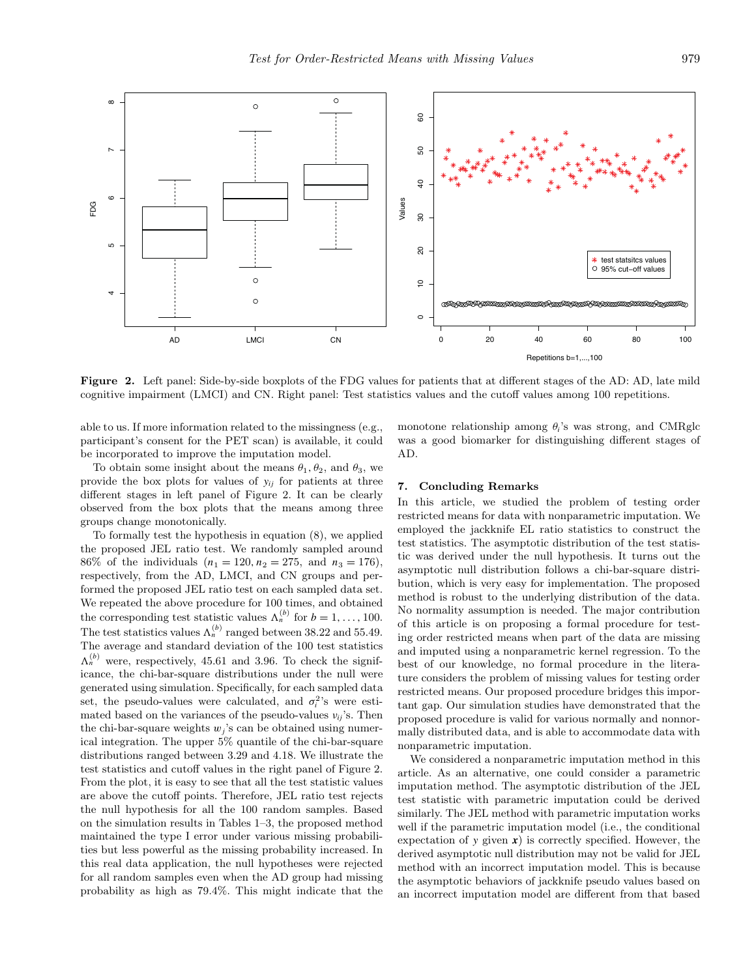

**Figure 2.** Left panel: Side-by-side boxplots of the FDG values for patients that at different stages of the AD: AD, late mild cognitive impairment (LMCI) and CN. Right panel: Test statistics values and the cutoff values among 100 repetitions.

able to us. If more information related to the missingness (e.g., participant's consent for the PET scan) is available, it could be incorporated to improve the imputation model.

To obtain some insight about the means  $\theta_1$ ,  $\theta_2$ , and  $\theta_3$ , we provide the box plots for values of  $y_{ij}$  for patients at three different stages in left panel of Figure 2. It can be clearly observed from the box plots that the means among three groups change monotonically.

To formally test the hypothesis in equation (8), we applied the proposed JEL ratio test. We randomly sampled around 86% of the individuals  $(n_1 = 120, n_2 = 275, \text{ and } n_3 = 176),$ respectively, from the AD, LMCI, and CN groups and performed the proposed JEL ratio test on each sampled data set. We repeated the above procedure for 100 times, and obtained the corresponding test statistic values  $\Lambda_n^{(b)}$  for  $b = 1, \ldots, 100$ . The test statistics values  $\Lambda_n^{(b)}$  ranged between 38.22 and 55.49. The average and standard deviation of the 100 test statistics  $\Lambda_n^{(b)}$  were, respectively, 45.61 and 3.96. To check the significance, the chi-bar-square distributions under the null were generated using simulation. Specifically, for each sampled data set, the pseudo-values were calculated, and  $\sigma_i^2$ 's were estimated based on the variances of the pseudo-values  $v_{ij}$ 's. Then the chi-bar-square weights  $w_i$ 's can be obtained using numerical integration. The upper 5% quantile of the chi-bar-square distributions ranged between 3*.*29 and 4*.*18. We illustrate the test statistics and cutoff values in the right panel of Figure 2. From the plot, it is easy to see that all the test statistic values are above the cutoff points. Therefore, JEL ratio test rejects the null hypothesis for all the 100 random samples. Based on the simulation results in Tables 1–3, the proposed method maintained the type I error under various missing probabilities but less powerful as the missing probability increased. In this real data application, the null hypotheses were rejected for all random samples even when the AD group had missing probability as high as 79.4%. This might indicate that the monotone relationship among *θi*'s was strong, and CMRglc was a good biomarker for distinguishing different stages of AD.

# **7. Concluding Remarks**

In this article, we studied the problem of testing order restricted means for data with nonparametric imputation. We employed the jackknife EL ratio statistics to construct the test statistics. The asymptotic distribution of the test statistic was derived under the null hypothesis. It turns out the asymptotic null distribution follows a chi-bar-square distribution, which is very easy for implementation. The proposed method is robust to the underlying distribution of the data. No normality assumption is needed. The major contribution of this article is on proposing a formal procedure for testing order restricted means when part of the data are missing and imputed using a nonparametric kernel regression. To the best of our knowledge, no formal procedure in the literature considers the problem of missing values for testing order restricted means. Our proposed procedure bridges this important gap. Our simulation studies have demonstrated that the proposed procedure is valid for various normally and nonnormally distributed data, and is able to accommodate data with nonparametric imputation.

We considered a nonparametric imputation method in this article. As an alternative, one could consider a parametric imputation method. The asymptotic distribution of the JEL test statistic with parametric imputation could be derived similarly. The JEL method with parametric imputation works well if the parametric imputation model (i.e., the conditional expectation of  $y$  given  $x$ ) is correctly specified. However, the derived asymptotic null distribution may not be valid for JEL method with an incorrect imputation model. This is because the asymptotic behaviors of jackknife pseudo values based on an incorrect imputation model are different from that based